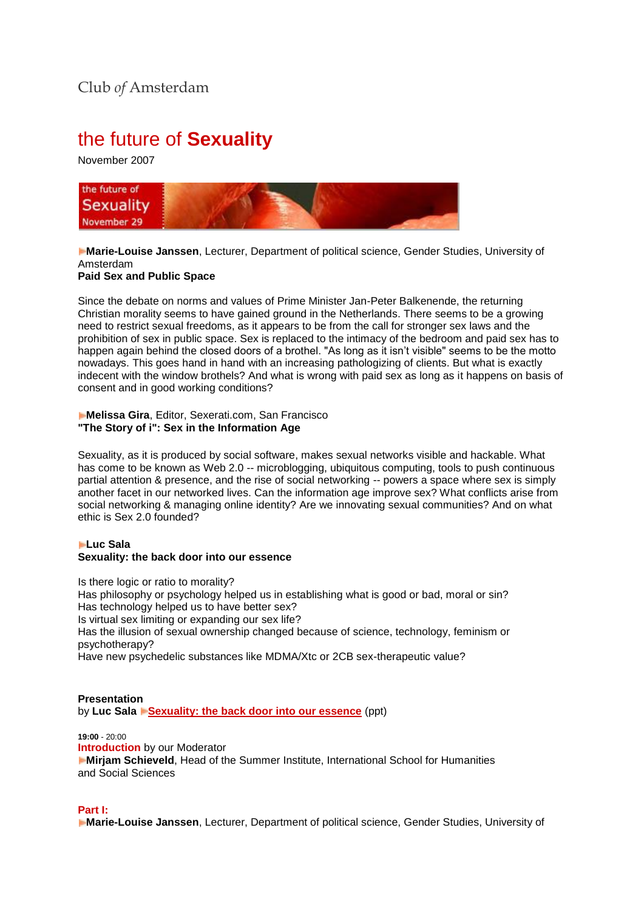# the future of **Sexuality**

November 2007



**Marie-Louise Janssen**, Lecturer, Department of political science, Gender Studies, University of Amsterdam

**Paid Sex and Public Space**

Since the debate on norms and values of Prime Minister Jan-Peter Balkenende, the returning Christian morality seems to have gained ground in the Netherlands. There seems to be a growing need to restrict sexual freedoms, as it appears to be from the call for stronger sex laws and the prohibition of sex in public space. Sex is replaced to the intimacy of the bedroom and paid sex has to happen again behind the closed doors of a brothel. "As long as it isn't visible" seems to be the motto nowadays. This goes hand in hand with an increasing pathologizing of clients. But what is exactly indecent with the window brothels? And what is wrong with paid sex as long as it happens on basis of consent and in good working conditions?

**Melissa Gira**, Editor, Sexerati.com, San Francisco **"The Story of i": Sex in the Information Age**

Sexuality, as it is produced by social software, makes sexual networks visible and hackable. What has come to be known as Web 2.0 -- microblogging, ubiquitous computing, tools to push continuous partial attention & presence, and the rise of social networking -- powers a space where sex is simply another facet in our networked lives. Can the information age improve sex? What conflicts arise from social networking & managing online identity? Are we innovating sexual communities? And on what ethic is Sex 2.0 founded?

### **Luc Sala Sexuality: the back door into our essence**

Is there logic or ratio to morality? Has philosophy or psychology helped us in establishing what is good or bad, moral or sin? Has technology helped us to have better sex? Is virtual sex limiting or expanding our sex life? Has the illusion of sexual ownership changed because of science, technology, feminism or psychotherapy? Have new psychedelic substances like MDMA/Xtc or 2CB sex-therapeutic value?

#### **Presentation**

by **Luc Sala [Sexuality: the back door into our essence](http://www.clubofamsterdam.com/contentarticles/42%20Sexuality/Luc%20Sala%20The%20Future%20of%20Sex(uality).ppt)** (ppt)

**19:00** - 20:00 **Introduction** by our Moderator **Mirjam Schieveld**, Head of the Summer Institute, International School for Humanities and Social Sciences

#### **Part I:**

**Marie-Louise Janssen**, Lecturer, Department of political science, Gender Studies, University of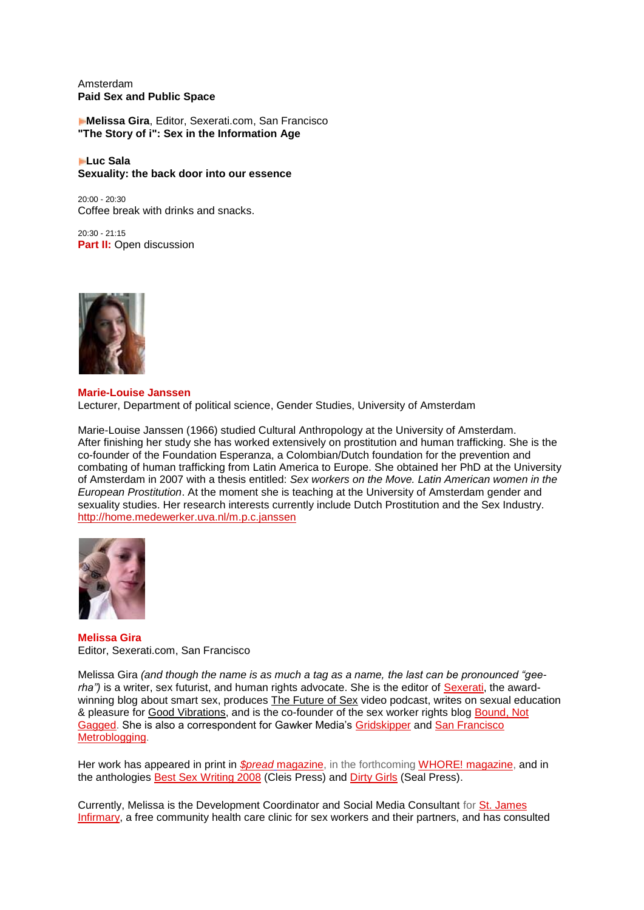Amsterdam **Paid Sex and Public Space**

**Melissa Gira**, Editor, Sexerati.com, San Francisco **"The Story of i": Sex in the Information Age**

**Luc Sala Sexuality: the back door into our essence**

20:00 - 20:30 Coffee break with drinks and snacks.

20:30 - 21:15 **Part II:** Open discussion



#### **Marie-Louise Janssen** Lecturer, Department of political science, Gender Studies, University of Amsterdam

Marie-Louise Janssen (1966) studied Cultural Anthropology at the University of Amsterdam. After finishing her study she has worked extensively on prostitution and human trafficking. She is the co-founder of the Foundation Esperanza, a Colombian/Dutch foundation for the prevention and combating of human trafficking from Latin America to Europe. She obtained her PhD at the University of Amsterdam in 2007 with a thesis entitled: *Sex workers on the Move. Latin American women in the European Prostitution*. At the moment she is teaching at the University of Amsterdam gender and sexuality studies. Her research interests currently include Dutch Prostitution and the Sex Industry. [http://home.medewerker.uva.nl/m.p.c.janssen](http://home.medewerker.uva.nl/m.p.c.janssen/)



**Melissa Gira** Editor, Sexerati.com, San Francisco

Melissa Gira *(and though the name is as much a tag as a name, the last can be pronounced "gee*rha") is a writer, sex futurist, and human rights advocate. She is the editor of **Sexerati**, the awardwinning blog about smart sex, produces [The Future of Sex](http://sexerati.blip.tv/) video podcast, writes on sexual education & pleasure for [Good Vibrations,](http://www.goodvibes.com/) and is the co-founder of the sex worker rights blog [Bound, Not](http://www.boundnotgagged.com/)  [Gagged.](http://www.boundnotgagged.com/) She is also a correspondent for Gawker Media's [Gridskipper](http://www.gridskipper.com/) and [San Francisco](http://sf.metblogs.com/)  [Metroblogging.](http://sf.metblogs.com/)

Her work has appeared in print in *[\\$pread](http://www.spreadmagazine.org/)* [magazine,](http://www.spreadmagazine.org/) in the forthcoming [WHORE! magazine,](http://www.whoremagazine.net/) and in the anthologies [Best Sex Writing 2008](http://www.amazon.com/dp/1573443026?tag=clubofamsterd-20&camp=0&creative=0&linkCode=as1&creativeASIN=1573443026&adid=1CNS35EKCGT6KCMVJS4F&) (Cleis Press) and [Dirty Girls](http://www.amazon.com/dp/1580052517?tag=clubofamsterd-20&camp=0&creative=0&linkCode=as1&creativeASIN=1580052517&adid=18APSFNXZ165KWQCXVWE&) (Seal Press).

Currently, Melissa is the Development Coordinator and Social Media Consultant fo[r St. James](http://www.stjamesinfirmary.org/)  [Infirmary,](http://www.stjamesinfirmary.org/) a free community health care clinic for sex workers and their partners, and has consulted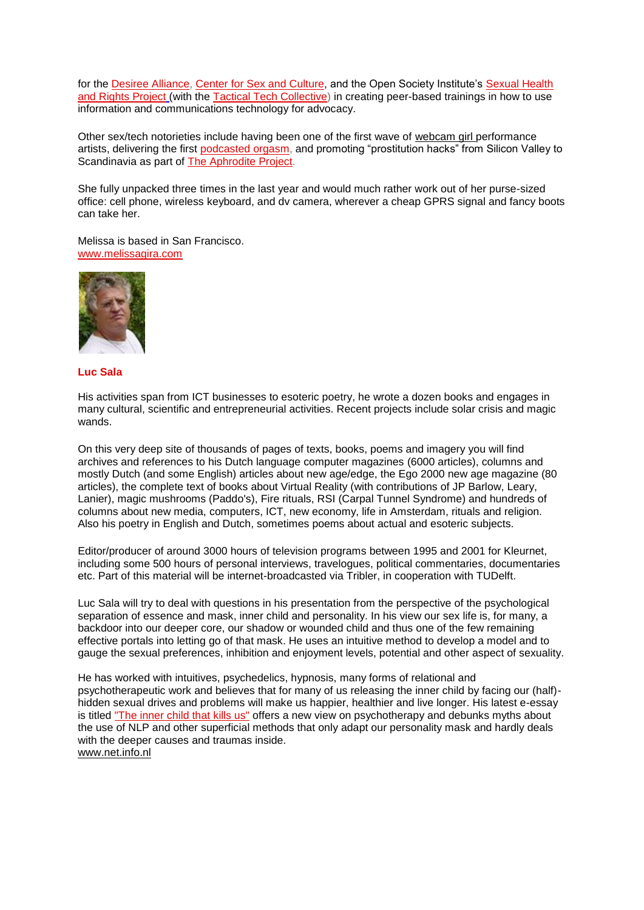for the [Desiree Alliance,](http://www.desireealliance.org/) [Center for Sex and Culture,](http://www.sexandculture.org/) and the Open Society Institute's [Sexual Health](http://www.soros.org/initiatives/health/focus/sharp/)  [and Rights Project](http://www.soros.org/initiatives/health/focus/sharp/) (with the [Tactical Tech Collective\)](http://www.tacticaltech.org/) in creating peer-based trainings in how to use information and communications technology for advocacy.

Other sex/tech notorieties include having been one of the first wave of [webcam girl](http://www.beautifultoxin.net/) performance artists, delivering the first [podcasted orgasm,](http://melissagira.libsyn.com/) and promoting "prostitution hacks" from Silicon Valley to Scandinavia as part of [The Aphrodite Project.](http://www.theaphroditeproject.tv/)

She fully unpacked three times in the last year and would much rather work out of her purse-sized office: cell phone, wireless keyboard, and dv camera, wherever a cheap GPRS signal and fancy boots can take her.

Melissa is based in San Francisco. [www.melissagira.com](http://www.melissagira.com/)



#### **Luc Sala**

His activities span from ICT businesses to esoteric poetry, he wrote a dozen books and engages in many cultural, scientific and entrepreneurial activities. Recent projects include solar crisis and magic wands.

On this very deep site of thousands of pages of texts, books, poems and imagery you will find archives and references to his Dutch language computer magazines (6000 articles), columns and mostly Dutch (and some English) articles about new age/edge, the Ego 2000 new age magazine (80 articles), the complete text of books about Virtual Reality (with contributions of JP Barlow, Leary, Lanier), magic mushrooms (Paddo's), Fire rituals, RSI (Carpal Tunnel Syndrome) and hundreds of columns about new media, computers, ICT, new economy, life in Amsterdam, rituals and religion. Also his poetry in English and Dutch, sometimes poems about actual and esoteric subjects.

Editor/producer of around 3000 hours of television programs between 1995 and 2001 for Kleurnet, including some 500 hours of personal interviews, travelogues, political commentaries, documentaries etc. Part of this material will be internet-broadcasted via Tribler, in cooperation with TUDelft.

Luc Sala will try to deal with questions in his presentation from the perspective of the psychological separation of essence and mask, inner child and personality. In his view our sex life is, for many, a backdoor into our deeper core, our shadow or wounded child and thus one of the few remaining effective portals into letting go of that mask. He uses an intuitive method to develop a model and to gauge the sexual preferences, inhibition and enjoyment levels, potential and other aspect of sexuality.

He has worked with intuitives, psychedelics, hypnosis, many forms of relational and psychotherapeutic work and believes that for many of us releasing the inner child by facing our (half) hidden sexual drives and problems will make us happier, healthier and live longer. His latest e-essay is titled ["The inner child that kills us"](http://www.net.info.nl/psyche.htm) offers a new view on psychotherapy and debunks myths about the use of NLP and other superficial methods that only adapt our personality mask and hardly deals with the deeper causes and traumas inside. [www.net.info.nl](http://www.net.info.nl/)